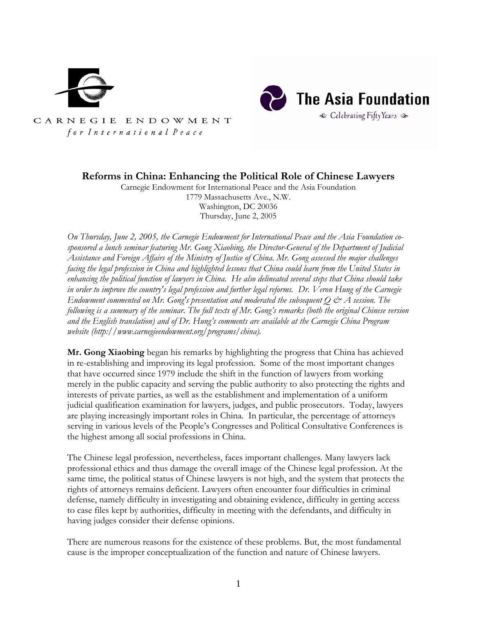



CARNEGIE ENDOWMENT for International Peace

## **Reforms in China: Enhancing the Political Role of Chinese Lawyers**

Carnegie Endowment for International Peace and the Asia Foundation 1779 Massachusetts Ave., N.W. Washington, DC 20036 Thursday, June 2, 2005

*On Thursday, June 2, 2005, the Carnegie Endowment for International Peace and the Asia Foundation cosponsored a lunch seminar featuring Mr. Gong Xiaobing, the Director-General of the Department of Judicial Assistance and Foreign Affairs of the Ministry of Justice of China. Mr. Gong assessed the major challenges facing the legal profession in China and highlighted lessons that China could learn from the United States in enhancing the political function of lawyers in China. He also delineated several steps that China should take in order to improve the country's legal profession and further legal reforms. Dr. Veron Hung of the Carnegie Endowment commented on Mr. Gong's presentation and moderated the subsequent Q*  $\mathcal{O}$  *A session. The following is a summary of the seminar. The full texts of Mr. Gong's remarks (both the original Chinese version and the English translation) and of Dr. Hung's comments are available at the Carnegie China Program website (http://www.carnegieendowment.org/programs/china).* 

**Mr. Gong Xiaobing** began his remarks by highlighting the progress that China has achieved in re-establishing and improving its legal profession. Some of the most important changes that have occurred since 1979 include the shift in the function of lawyers from working merely in the public capacity and serving the public authority to also protecting the rights and interests of private parties, as well as the establishment and implementation of a uniform judicial qualification examination for lawyers, judges, and public prosecutors. Today, lawyers are playing increasingly important roles in China. In particular, the percentage of attorneys serving in various levels of the People's Congresses and Political Consultative Conferences is the highest among all social professions in China.

The Chinese legal profession, nevertheless, faces important challenges. Many lawyers lack professional ethics and thus damage the overall image of the Chinese legal profession. At the same time, the political status of Chinese lawyers is not high, and the system that protects the rights of attorneys remains deficient. Lawyers often encounter four difficulties in criminal defense, namely difficulty in investigating and obtaining evidence, difficulty in getting access to case files kept by authorities, difficulty in meeting with the defendants, and difficulty in having judges consider their defense opinions.

There are numerous reasons for the existence of these problems. But, the most fundamental cause is the improper conceptualization of the function and nature of Chinese lawyers.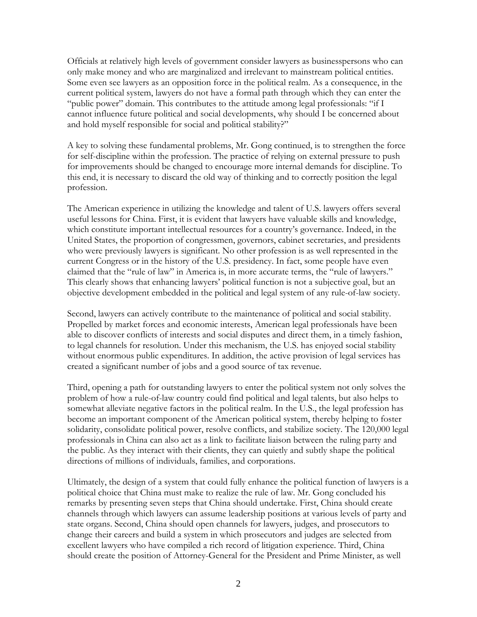Officials at relatively high levels of government consider lawyers as businesspersons who can only make money and who are marginalized and irrelevant to mainstream political entities. Some even see lawyers as an opposition force in the political realm. As a consequence, in the current political system, lawyers do not have a formal path through which they can enter the "public power" domain. This contributes to the attitude among legal professionals: "if I cannot influence future political and social developments, why should I be concerned about and hold myself responsible for social and political stability?"

A key to solving these fundamental problems, Mr. Gong continued, is to strengthen the force for self-discipline within the profession. The practice of relying on external pressure to push for improvements should be changed to encourage more internal demands for discipline. To this end, it is necessary to discard the old way of thinking and to correctly position the legal profession.

The American experience in utilizing the knowledge and talent of U.S. lawyers offers several useful lessons for China. First, it is evident that lawyers have valuable skills and knowledge, which constitute important intellectual resources for a country's governance. Indeed, in the United States, the proportion of congressmen, governors, cabinet secretaries, and presidents who were previously lawyers is significant. No other profession is as well represented in the current Congress or in the history of the U.S. presidency. In fact, some people have even claimed that the "rule of law" in America is, in more accurate terms, the "rule of lawyers." This clearly shows that enhancing lawyers' political function is not a subjective goal, but an objective development embedded in the political and legal system of any rule-of-law society.

Second, lawyers can actively contribute to the maintenance of political and social stability. Propelled by market forces and economic interests, American legal professionals have been able to discover conflicts of interests and social disputes and direct them, in a timely fashion, to legal channels for resolution. Under this mechanism, the U.S. has enjoyed social stability without enormous public expenditures. In addition, the active provision of legal services has created a significant number of jobs and a good source of tax revenue.

Third, opening a path for outstanding lawyers to enter the political system not only solves the problem of how a rule-of-law country could find political and legal talents, but also helps to somewhat alleviate negative factors in the political realm. In the U.S., the legal profession has become an important component of the American political system, thereby helping to foster solidarity, consolidate political power, resolve conflicts, and stabilize society. The 120,000 legal professionals in China can also act as a link to facilitate liaison between the ruling party and the public. As they interact with their clients, they can quietly and subtly shape the political directions of millions of individuals, families, and corporations.

Ultimately, the design of a system that could fully enhance the political function of lawyers is a political choice that China must make to realize the rule of law. Mr. Gong concluded his remarks by presenting seven steps that China should undertake. First, China should create channels through which lawyers can assume leadership positions at various levels of party and state organs. Second, China should open channels for lawyers, judges, and prosecutors to change their careers and build a system in which prosecutors and judges are selected from excellent lawyers who have compiled a rich record of litigation experience. Third, China should create the position of Attorney-General for the President and Prime Minister, as well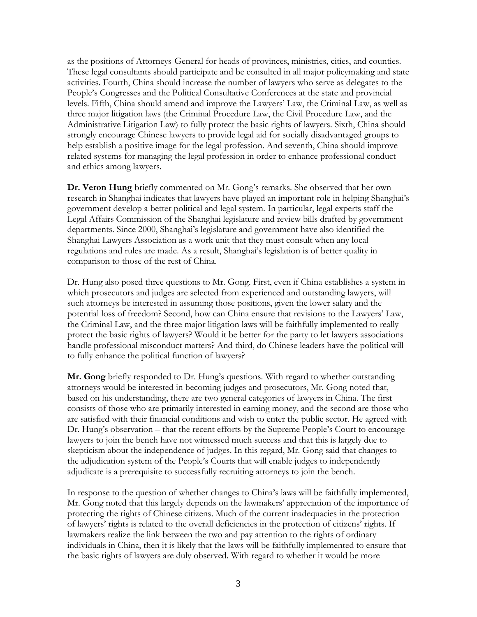as the positions of Attorneys-General for heads of provinces, ministries, cities, and counties. These legal consultants should participate and be consulted in all major policymaking and state activities. Fourth, China should increase the number of lawyers who serve as delegates to the People's Congresses and the Political Consultative Conferences at the state and provincial levels. Fifth, China should amend and improve the Lawyers' Law, the Criminal Law, as well as three major litigation laws (the Criminal Procedure Law, the Civil Procedure Law, and the Administrative Litigation Law) to fully protect the basic rights of lawyers. Sixth, China should strongly encourage Chinese lawyers to provide legal aid for socially disadvantaged groups to help establish a positive image for the legal profession. And seventh, China should improve related systems for managing the legal profession in order to enhance professional conduct and ethics among lawyers.

**Dr. Veron Hung** briefly commented on Mr. Gong's remarks. She observed that her own research in Shanghai indicates that lawyers have played an important role in helping Shanghai's government develop a better political and legal system. In particular, legal experts staff the Legal Affairs Commission of the Shanghai legislature and review bills drafted by government departments. Since 2000, Shanghai's legislature and government have also identified the Shanghai Lawyers Association as a work unit that they must consult when any local regulations and rules are made. As a result, Shanghai's legislation is of better quality in comparison to those of the rest of China.

Dr. Hung also posed three questions to Mr. Gong. First, even if China establishes a system in which prosecutors and judges are selected from experienced and outstanding lawyers, will such attorneys be interested in assuming those positions, given the lower salary and the potential loss of freedom? Second, how can China ensure that revisions to the Lawyers' Law, the Criminal Law, and the three major litigation laws will be faithfully implemented to really protect the basic rights of lawyers? Would it be better for the party to let lawyers associations handle professional misconduct matters? And third, do Chinese leaders have the political will to fully enhance the political function of lawyers?

**Mr. Gong** briefly responded to Dr. Hung's questions. With regard to whether outstanding attorneys would be interested in becoming judges and prosecutors, Mr. Gong noted that, based on his understanding, there are two general categories of lawyers in China. The first consists of those who are primarily interested in earning money, and the second are those who are satisfied with their financial conditions and wish to enter the public sector. He agreed with Dr. Hung's observation – that the recent efforts by the Supreme People's Court to encourage lawyers to join the bench have not witnessed much success and that this is largely due to skepticism about the independence of judges. In this regard, Mr. Gong said that changes to the adjudication system of the People's Courts that will enable judges to independently adjudicate is a prerequisite to successfully recruiting attorneys to join the bench.

In response to the question of whether changes to China's laws will be faithfully implemented, Mr. Gong noted that this largely depends on the lawmakers' appreciation of the importance of protecting the rights of Chinese citizens. Much of the current inadequacies in the protection of lawyers' rights is related to the overall deficiencies in the protection of citizens' rights. If lawmakers realize the link between the two and pay attention to the rights of ordinary individuals in China, then it is likely that the laws will be faithfully implemented to ensure that the basic rights of lawyers are duly observed. With regard to whether it would be more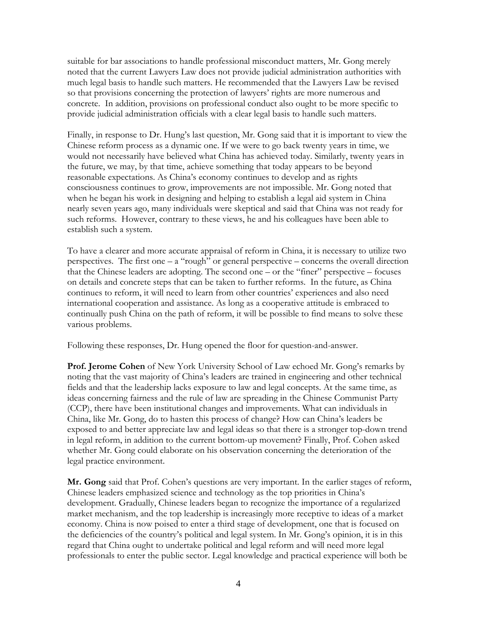suitable for bar associations to handle professional misconduct matters, Mr. Gong merely noted that the current Lawyers Law does not provide judicial administration authorities with much legal basis to handle such matters. He recommended that the Lawyers Law be revised so that provisions concerning the protection of lawyers' rights are more numerous and concrete. In addition, provisions on professional conduct also ought to be more specific to provide judicial administration officials with a clear legal basis to handle such matters.

Finally, in response to Dr. Hung's last question, Mr. Gong said that it is important to view the Chinese reform process as a dynamic one. If we were to go back twenty years in time, we would not necessarily have believed what China has achieved today. Similarly, twenty years in the future, we may, by that time, achieve something that today appears to be beyond reasonable expectations. As China's economy continues to develop and as rights consciousness continues to grow, improvements are not impossible. Mr. Gong noted that when he began his work in designing and helping to establish a legal aid system in China nearly seven years ago, many individuals were skeptical and said that China was not ready for such reforms. However, contrary to these views, he and his colleagues have been able to establish such a system.

To have a clearer and more accurate appraisal of reform in China, it is necessary to utilize two perspectives. The first one – a "rough" or general perspective – concerns the overall direction that the Chinese leaders are adopting. The second one – or the "finer" perspective – focuses on details and concrete steps that can be taken to further reforms. In the future, as China continues to reform, it will need to learn from other countries' experiences and also need international cooperation and assistance. As long as a cooperative attitude is embraced to continually push China on the path of reform, it will be possible to find means to solve these various problems.

Following these responses, Dr. Hung opened the floor for question-and-answer.

**Prof. Jerome Cohen** of New York University School of Law echoed Mr. Gong's remarks by noting that the vast majority of China's leaders are trained in engineering and other technical fields and that the leadership lacks exposure to law and legal concepts. At the same time, as ideas concerning fairness and the rule of law are spreading in the Chinese Communist Party (CCP), there have been institutional changes and improvements. What can individuals in China, like Mr. Gong, do to hasten this process of change? How can China's leaders be exposed to and better appreciate law and legal ideas so that there is a stronger top-down trend in legal reform, in addition to the current bottom-up movement? Finally, Prof. Cohen asked whether Mr. Gong could elaborate on his observation concerning the deterioration of the legal practice environment.

**Mr. Gong** said that Prof. Cohen's questions are very important. In the earlier stages of reform, Chinese leaders emphasized science and technology as the top priorities in China's development. Gradually, Chinese leaders began to recognize the importance of a regularized market mechanism, and the top leadership is increasingly more receptive to ideas of a market economy. China is now poised to enter a third stage of development, one that is focused on the deficiencies of the country's political and legal system. In Mr. Gong's opinion, it is in this regard that China ought to undertake political and legal reform and will need more legal professionals to enter the public sector. Legal knowledge and practical experience will both be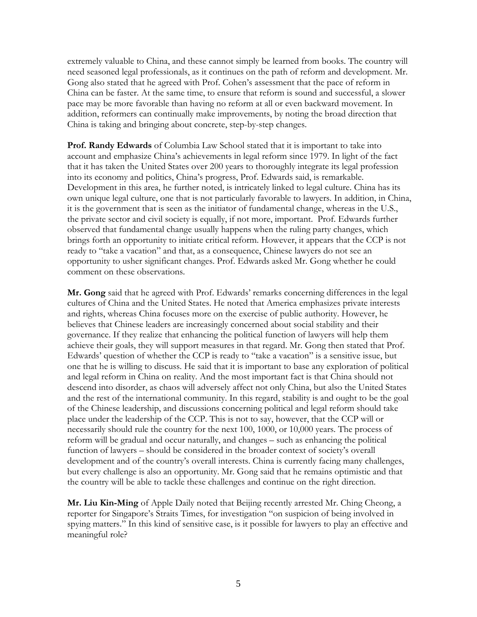extremely valuable to China, and these cannot simply be learned from books. The country will need seasoned legal professionals, as it continues on the path of reform and development. Mr. Gong also stated that he agreed with Prof. Cohen's assessment that the pace of reform in China can be faster. At the same time, to ensure that reform is sound and successful, a slower pace may be more favorable than having no reform at all or even backward movement. In addition, reformers can continually make improvements, by noting the broad direction that China is taking and bringing about concrete, step-by-step changes.

**Prof. Randy Edwards** of Columbia Law School stated that it is important to take into account and emphasize China's achievements in legal reform since 1979. In light of the fact that it has taken the United States over 200 years to thoroughly integrate its legal profession into its economy and politics, China's progress, Prof. Edwards said, is remarkable. Development in this area, he further noted, is intricately linked to legal culture. China has its own unique legal culture, one that is not particularly favorable to lawyers. In addition, in China, it is the government that is seen as the initiator of fundamental change, whereas in the U.S., the private sector and civil society is equally, if not more, important. Prof. Edwards further observed that fundamental change usually happens when the ruling party changes, which brings forth an opportunity to initiate critical reform. However, it appears that the CCP is not ready to "take a vacation" and that, as a consequence, Chinese lawyers do not see an opportunity to usher significant changes. Prof. Edwards asked Mr. Gong whether he could comment on these observations.

**Mr. Gong** said that he agreed with Prof. Edwards' remarks concerning differences in the legal cultures of China and the United States. He noted that America emphasizes private interests and rights, whereas China focuses more on the exercise of public authority. However, he believes that Chinese leaders are increasingly concerned about social stability and their governance. If they realize that enhancing the political function of lawyers will help them achieve their goals, they will support measures in that regard. Mr. Gong then stated that Prof. Edwards' question of whether the CCP is ready to "take a vacation" is a sensitive issue, but one that he is willing to discuss. He said that it is important to base any exploration of political and legal reform in China on reality. And the most important fact is that China should not descend into disorder, as chaos will adversely affect not only China, but also the United States and the rest of the international community. In this regard, stability is and ought to be the goal of the Chinese leadership, and discussions concerning political and legal reform should take place under the leadership of the CCP. This is not to say, however, that the CCP will or necessarily should rule the country for the next 100, 1000, or 10,000 years. The process of reform will be gradual and occur naturally, and changes – such as enhancing the political function of lawyers – should be considered in the broader context of society's overall development and of the country's overall interests. China is currently facing many challenges, but every challenge is also an opportunity. Mr. Gong said that he remains optimistic and that the country will be able to tackle these challenges and continue on the right direction.

**Mr. Liu Kin-Ming** of Apple Daily noted that Beijing recently arrested Mr. Ching Cheong, a reporter for Singapore's Straits Times, for investigation "on suspicion of being involved in spying matters." In this kind of sensitive case, is it possible for lawyers to play an effective and meaningful role?